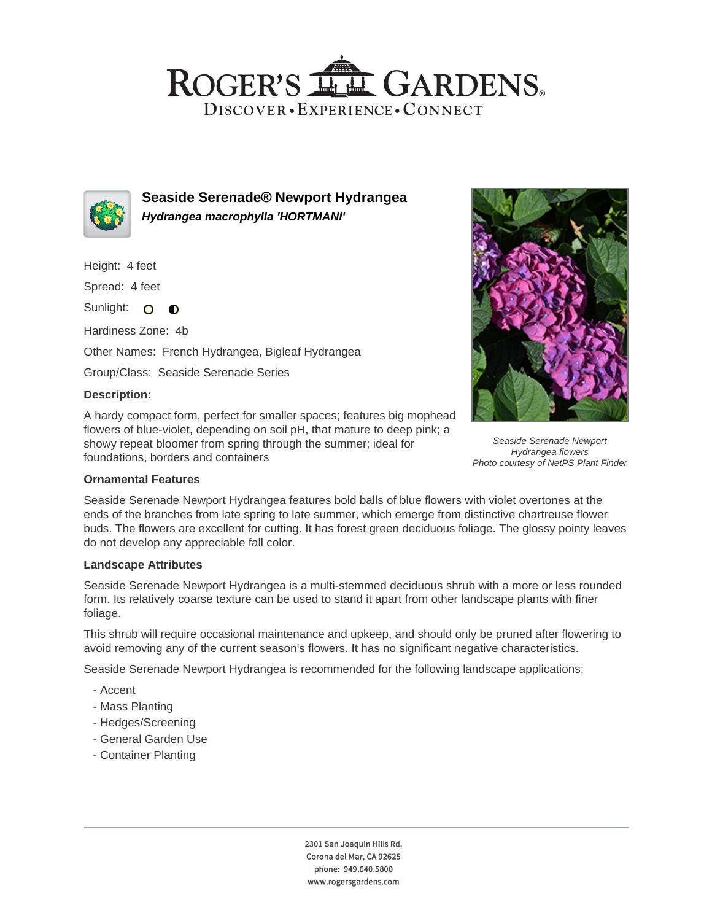## ROGER'S LL GARDENS. DISCOVER · EXPERIENCE · CONNECT



**Seaside Serenade® Newport Hydrangea Hydrangea macrophylla 'HORTMANI'**

Height: 4 feet

Spread: 4 feet

Sunlight: O  $\bullet$ 

Hardiness Zone: 4b

Other Names: French Hydrangea, Bigleaf Hydrangea

Group/Class: Seaside Serenade Series

#### **Description:**

A hardy compact form, perfect for smaller spaces; features big mophead flowers of blue-violet, depending on soil pH, that mature to deep pink; a showy repeat bloomer from spring through the summer; ideal for foundations, borders and containers



Seaside Serenade Newport Hydrangea flowers Photo courtesy of NetPS Plant Finder

## **Ornamental Features**

Seaside Serenade Newport Hydrangea features bold balls of blue flowers with violet overtones at the ends of the branches from late spring to late summer, which emerge from distinctive chartreuse flower buds. The flowers are excellent for cutting. It has forest green deciduous foliage. The glossy pointy leaves do not develop any appreciable fall color.

#### **Landscape Attributes**

Seaside Serenade Newport Hydrangea is a multi-stemmed deciduous shrub with a more or less rounded form. Its relatively coarse texture can be used to stand it apart from other landscape plants with finer foliage.

This shrub will require occasional maintenance and upkeep, and should only be pruned after flowering to avoid removing any of the current season's flowers. It has no significant negative characteristics.

Seaside Serenade Newport Hydrangea is recommended for the following landscape applications;

- Accent
- Mass Planting
- Hedges/Screening
- General Garden Use
- Container Planting

2301 San Joaquin Hills Rd. Corona del Mar, CA 92625 phone: 949.640.5800 www.rogersgardens.com